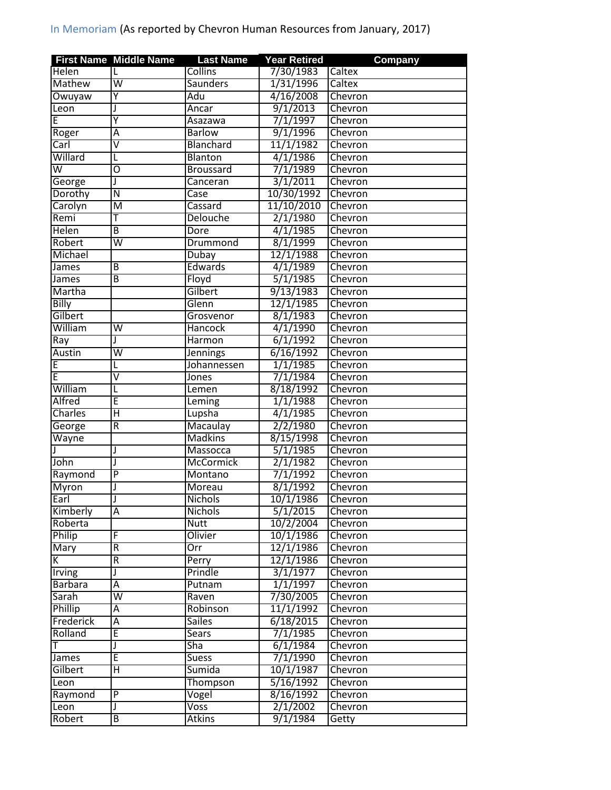|                | <b>First Name Middle Name</b> | <b>Last Name</b> | <b>Year Retired</b> | <b>Company</b> |
|----------------|-------------------------------|------------------|---------------------|----------------|
| Helen          | L                             | <b>Collins</b>   | 7/30/1983           | Caltex         |
| <b>Mathew</b>  | $\overline{\mathsf{w}}$       | <b>Saunders</b>  | 1/31/1996           | Caltex         |
| Owuyaw         | Y                             | Adu              | 4/16/2008           | Chevron        |
| Leon           |                               | Ancar            | 9/1/2013            | Chevron        |
| E              | Ÿ                             | Asazawa          | 7/1/1997            | Chevron        |
| Roger          | Α                             | <b>Barlow</b>    | 9/1/1996            | Chevron        |
| Carl           | V                             | Blanchard        | 11/1/1982           | Chevron        |
| Willard        | L                             | Blanton          | 4/1/1986            | Chevron        |
| W              | 0                             | <b>Broussard</b> | 7/1/1989            | Chevron        |
| George         | J                             | Canceran         | 3/1/2011            | Chevron        |
| Dorothy        | $\overline{\mathsf{N}}$       | Case             | 10/30/1992          | Chevron        |
| Carolyn        | M                             | Cassard          | 11/10/2010          | Chevron        |
| Remi           | Ŧ                             | <b>Delouche</b>  | 2/1/1980            | Chevron        |
| <b>Helen</b>   | B                             | Dore             | 4/1/1985            | Chevron        |
| Robert         | $\overline{\mathsf{w}}$       | Drummond         | 8/1/1999            | Chevron        |
| Michael        |                               | Dubay            | 12/1/1988           | Chevron        |
| James          | B                             | Edwards          | 4/1/1989            | Chevron        |
| James          | B                             | Floyd            | 5/1/1985            | Chevron        |
| Martha         |                               | Gilbert          | 9/13/1983           | Chevron        |
| <b>Billy</b>   |                               | Glenn            | 12/1/1985           | Chevron        |
| Gilbert        |                               | Grosvenor        | 8/1/1983            | Chevron        |
| William        | W                             | Hancock          | 4/1/1990            | Chevron        |
| Ray            |                               | Harmon           | 6/1/1992            | Chevron        |
| <b>Austin</b>  | $\overline{\mathsf{W}}$       | <b>Jennings</b>  | 6/16/1992           | Chevron        |
| E              | L                             | Johannessen      | 1/1/1985            | Chevron        |
| E              | $\overline{\mathsf{v}}$       | Jones            | 7/1/1984            | Chevron        |
| William        | L                             | Lemen            | 8/18/1992           | Chevron        |
| <b>Alfred</b>  | Ē                             | Leming           | 1/1/1988            | Chevron        |
| <b>Charles</b> | $\overline{\mathsf{H}}$       | Lupsha           | 4/1/1985            | Chevron        |
| George         | $\overline{R}$                | Macaulay         | 2/2/1980            | Chevron        |
| Wayne          |                               | <b>Madkins</b>   | 8/15/1998           | Chevron        |
|                | J                             | Massocca         | 5/1/1985            | Chevron        |
| John           | $\mathbf{I}$                  | <b>McCormick</b> | 2/1/1982            | Chevron        |
| Raymond        | $\overline{P}$                | Montano          | 7/1/1992            | Chevron        |
| Myron          |                               | Moreau           | 8/1/1992            | Chevron        |
| Earl           |                               | Nichols          | 10/1/1986           | Chevron        |
| Kimberly       | Α                             | <b>Nichols</b>   | 5/1/2015            | Chevron        |
| Roberta        |                               | Nutt             | 10/2/2004           | Chevron        |
| Philip         | F                             | Olivier          | 10/1/1986           | Chevron        |
| Mary           | R                             | Orr              | 12/1/1986           | Chevron        |
| K.             | $\overline{\mathsf{R}}$       | Perry            | 12/1/1986           | Chevron        |
| Irving         |                               | Prindle          | 3/1/1977            | <b>Chevron</b> |
| <b>Barbara</b> | А                             | Putnam           | 1/1/1997            | Chevron        |
| Sarah          | $\overline{\mathsf{W}}$       | Raven            | 7/30/2005           | Chevron        |
| Phillip        | Ā                             | Robinson         | 11/1/1992           | Chevron        |
| Frederick      | Ā                             | <b>Sailes</b>    | 6/18/2015           | Chevron        |
| Rolland        | Ē                             | Sears            | 7/1/1985            | Chevron        |
| Т              | J                             | Sha              | 6/1/1984            | Chevron        |
| James          | E                             | Suess            | 7/1/1990            | Chevron        |
| Gilbert        | Н                             | Sumida           | 10/1/1987           | Chevron        |
| Leon           |                               | Thompson         | 5/16/1992           | Chevron        |
| Raymond        | $\overline{P}$                | Vogel            | 8/16/1992           | Chevron        |
| Leon           |                               | <b>Voss</b>      | 2/1/2002            | Chevron        |
| Robert         | B                             | <b>Atkins</b>    | 9/1/1984            | Getty          |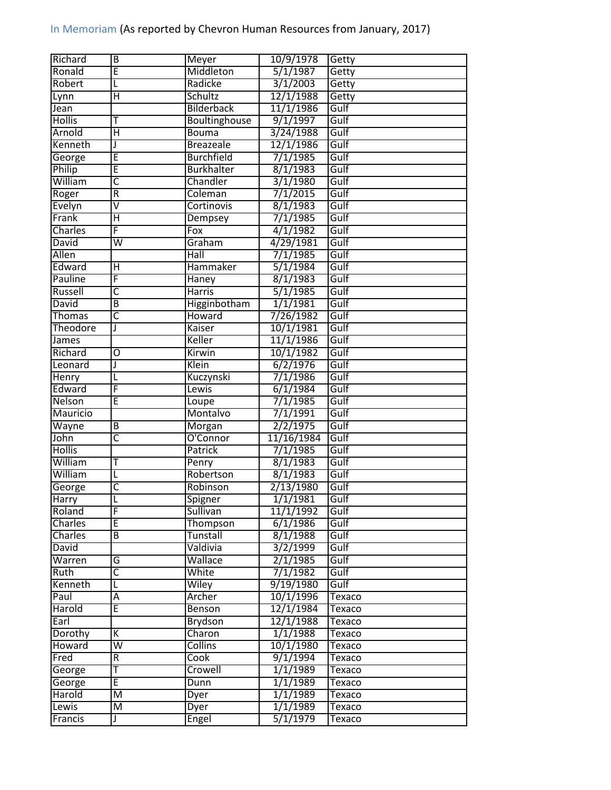| Richard          | B                       | Meyer             | 10/9/1978  | Getty         |
|------------------|-------------------------|-------------------|------------|---------------|
| Ronald           | E                       | Middleton         | 5/1/1987   | Getty         |
| Robert           | L                       | Radicke           | 3/1/2003   | Getty         |
| Lynn             | Η                       | Schultz           | 12/1/1988  | Getty         |
| Jean             |                         | <b>Bilderback</b> | 11/1/1986  | Gulf          |
| <b>Hollis</b>    | Т                       | Boultinghouse     | 9/1/1997   | Gulf          |
| Arnold           | Ή                       | <b>Bouma</b>      | 3/24/1988  | Gulf          |
| Kenneth          | J                       | <b>Breazeale</b>  | 12/1/1986  | Gulf          |
| George           | Έ                       | <b>Burchfield</b> | 7/1/1985   | Gulf          |
| Philip           | Ē                       | <b>Burkhalter</b> | 8/1/1983   | Gulf          |
| William          | $\overline{\mathsf{C}}$ | Chandler          | 3/1/1980   | Gulf          |
| Roger            | R                       | Coleman           | 7/1/2015   | Gulf          |
| Evelyn           | $\overline{\mathsf{V}}$ | <b>Cortinovis</b> | 8/1/1983   | Gulf          |
| Frank            | $\overline{\mathsf{H}}$ | Dempsey           | 7/1/1985   | Gulf          |
| <b>Charles</b>   | F                       | $F_{OX}$          | 4/1/1982   | Gulf          |
| <b>David</b>     | $\overline{\mathsf{w}}$ | Graham            | 4/29/1981  | Gulf          |
| Allen            |                         | Hall              | 7/1/1985   | Gulf          |
| Edward           | Ή                       | <b>Hammaker</b>   | 5/1/1984   | Gulf          |
| Pauline          | F                       | Haney             | 8/1/1983   | Gulf          |
| Russell          | $\overline{\mathsf{C}}$ | <b>Harris</b>     | 5/1/1985   | Gulf          |
| David            | B                       | Higginbotham      | 1/1/1981   | Gulf          |
| Thomas           | $\overline{\mathsf{c}}$ | <b>Howard</b>     | 7/26/1982  | Gulf          |
| Theodore         | J                       | Kaiser            | 10/1/1981  | Gulf          |
|                  |                         | Keller            | 11/1/1986  | Gulf          |
| James<br>Richard | O                       | Kirwin            | 10/1/1982  | Gulf          |
| Leonard          | J                       | Klein             | 6/2/1976   | Gulf          |
|                  |                         |                   |            |               |
| Henry            | L                       | Kuczynski         | 7/1/1986   | Gulf          |
| Edward           | F                       | Lewis             | 6/1/1984   | Gulf          |
| Nelson           | Ē                       | Loupe             | 7/1/1985   | Gulf          |
| <b>Mauricio</b>  |                         | Montalvo          | 7/1/1991   | Gulf          |
| Wayne            | B                       | Morgan            | 2/2/1975   | Gulf          |
| John             | C                       | O'Connor          | 11/16/1984 | Gulf          |
| <b>Hollis</b>    |                         | Patrick           | 7/1/1985   | Gulf          |
| William          | Т                       | Penry             | 8/1/1983   | Gulf          |
| William          | L                       | Robertson         | 8/1/1983   | Gulf          |
| George           | C                       | Robinson          | 2/13/1980  | Gulf          |
| Harry            |                         | Spigner           | 1/1/1981   | Gulf          |
| Roland           | F                       | Sullivan          | 11/1/1992  | Gulf          |
| Charles          | E                       | Thompson          | 6/1/1986   | Gulf          |
| Charles          | B                       | Tunstall          | 8/1/1988   | Gulf          |
| <b>David</b>     |                         | Valdivia          | 3/2/1999   | Gulf          |
| Warren           | G                       | Wallace           | 2/1/1985   | Gulf          |
| Ruth             | C                       | White             | 7/1/1982   | Gulf          |
| Kenneth          | L                       | Wiley             | 9/19/1980  | Gulf          |
| Paul             | А                       | Archer            | 10/1/1996  | Texaco        |
| Harold           | E                       | Benson            | 12/1/1984  | Texaco        |
| Earl             |                         | Brydson           | 12/1/1988  | Texaco        |
| Dorothy          | K                       | Charon            | 1/1/1988   | Texaco        |
| Howard           | $\overline{\mathsf{w}}$ | <b>Collins</b>    | 10/1/1980  | Texaco        |
| Fred             |                         | Cook              | 9/1/1994   | Texaco        |
|                  | $\overline{R}$          |                   |            |               |
| George           | Т                       | Crowell           | 1/1/1989   | Texaco        |
| George           | E                       | Dunn              | 1/1/1989   | Texaco        |
| Harold           | M                       | Dyer              | 1/1/1989   | Texaco        |
| Lewis            | $\overline{\mathsf{M}}$ | <b>Dyer</b>       | 1/1/1989   | <b>Texaco</b> |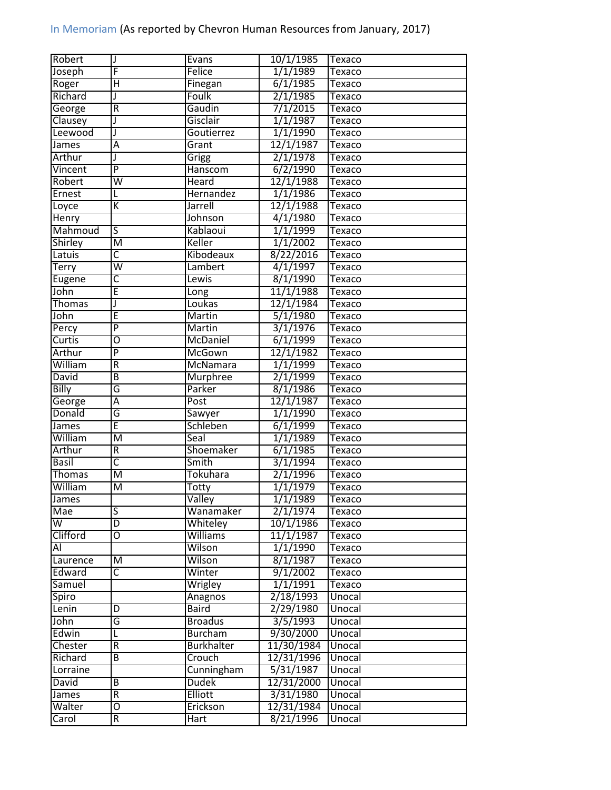| F<br>Joseph<br>$\overline{\mathsf{H}}$<br>Roger<br>Richard<br>J<br>$\overline{R}$<br>George<br>Clausey<br>J<br>Leewood<br>J<br>James<br>A<br>Arthur<br>J<br>Vincent<br>$\overline{P}$<br>Robert<br>W<br>Ernest<br>L<br>К<br>Loyce<br>Henry<br>Mahmoud<br>S<br>Shirley<br>$\overline{\mathsf{M}}$<br>$\overline{\mathsf{C}}$<br>Latuis<br>$\overline{\mathsf{w}}$<br>Terry | Felice<br>Finegan<br>Foulk<br>Gaudin<br>Gisclair<br>Goutierrez<br>Grant<br>Grigg<br>Hanscom<br><b>Heard</b><br>Hernandez<br>Jarrell<br>Johnson<br>Kablaoui<br>Keller | 1/1/1989<br>6/1/1985<br>2/1/1985<br>7/1/2015<br>1/1/1987<br>1/1/1990<br>12/1/1987<br>2/1/1978<br>6/2/1990<br>12/1/1988<br>1/1/1986<br>12/1/1988<br>4/1/1980<br>1/1/1999 | Texaco<br><b>Texaco</b><br><b>Texaco</b><br>Texaco<br>Texaco<br>Texaco<br>Texaco<br><b>Texaco</b><br><b>Texaco</b><br>Texaco<br>Texaco<br>Texaco<br>Texaco<br>Texaco |
|---------------------------------------------------------------------------------------------------------------------------------------------------------------------------------------------------------------------------------------------------------------------------------------------------------------------------------------------------------------------------|----------------------------------------------------------------------------------------------------------------------------------------------------------------------|-------------------------------------------------------------------------------------------------------------------------------------------------------------------------|----------------------------------------------------------------------------------------------------------------------------------------------------------------------|
|                                                                                                                                                                                                                                                                                                                                                                           |                                                                                                                                                                      |                                                                                                                                                                         |                                                                                                                                                                      |
|                                                                                                                                                                                                                                                                                                                                                                           |                                                                                                                                                                      |                                                                                                                                                                         |                                                                                                                                                                      |
|                                                                                                                                                                                                                                                                                                                                                                           |                                                                                                                                                                      |                                                                                                                                                                         |                                                                                                                                                                      |
|                                                                                                                                                                                                                                                                                                                                                                           |                                                                                                                                                                      |                                                                                                                                                                         |                                                                                                                                                                      |
|                                                                                                                                                                                                                                                                                                                                                                           |                                                                                                                                                                      |                                                                                                                                                                         |                                                                                                                                                                      |
|                                                                                                                                                                                                                                                                                                                                                                           |                                                                                                                                                                      |                                                                                                                                                                         |                                                                                                                                                                      |
|                                                                                                                                                                                                                                                                                                                                                                           |                                                                                                                                                                      |                                                                                                                                                                         |                                                                                                                                                                      |
|                                                                                                                                                                                                                                                                                                                                                                           |                                                                                                                                                                      |                                                                                                                                                                         |                                                                                                                                                                      |
|                                                                                                                                                                                                                                                                                                                                                                           |                                                                                                                                                                      |                                                                                                                                                                         |                                                                                                                                                                      |
|                                                                                                                                                                                                                                                                                                                                                                           |                                                                                                                                                                      |                                                                                                                                                                         |                                                                                                                                                                      |
|                                                                                                                                                                                                                                                                                                                                                                           |                                                                                                                                                                      |                                                                                                                                                                         |                                                                                                                                                                      |
|                                                                                                                                                                                                                                                                                                                                                                           |                                                                                                                                                                      |                                                                                                                                                                         |                                                                                                                                                                      |
|                                                                                                                                                                                                                                                                                                                                                                           |                                                                                                                                                                      |                                                                                                                                                                         |                                                                                                                                                                      |
|                                                                                                                                                                                                                                                                                                                                                                           |                                                                                                                                                                      |                                                                                                                                                                         |                                                                                                                                                                      |
|                                                                                                                                                                                                                                                                                                                                                                           |                                                                                                                                                                      | 1/1/2002                                                                                                                                                                | Texaco                                                                                                                                                               |
|                                                                                                                                                                                                                                                                                                                                                                           | Kibodeaux                                                                                                                                                            | 8/22/2016                                                                                                                                                               | Texaco                                                                                                                                                               |
|                                                                                                                                                                                                                                                                                                                                                                           | Lambert                                                                                                                                                              | 4/1/1997                                                                                                                                                                | Texaco                                                                                                                                                               |
| $\overline{\mathsf{C}}$<br>Eugene                                                                                                                                                                                                                                                                                                                                         | Lewis                                                                                                                                                                | 8/1/1990                                                                                                                                                                | Texaco                                                                                                                                                               |
| Ē<br>John                                                                                                                                                                                                                                                                                                                                                                 | Long                                                                                                                                                                 | 11/1/1988                                                                                                                                                               | Texaco                                                                                                                                                               |
| <b>Thomas</b><br>J                                                                                                                                                                                                                                                                                                                                                        | Loukas                                                                                                                                                               | 12/1/1984                                                                                                                                                               | Texaco                                                                                                                                                               |
| E<br>John                                                                                                                                                                                                                                                                                                                                                                 | Martin                                                                                                                                                               | 5/1/1980                                                                                                                                                                | Texaco                                                                                                                                                               |
| $\overline{\mathsf{P}}$<br>Percy                                                                                                                                                                                                                                                                                                                                          | Martin                                                                                                                                                               | 3/1/1976                                                                                                                                                                | Texaco                                                                                                                                                               |
| Curtis<br>0                                                                                                                                                                                                                                                                                                                                                               | McDaniel                                                                                                                                                             | 6/1/1999                                                                                                                                                                |                                                                                                                                                                      |
| $\overline{\mathsf{P}}$<br>Arthur                                                                                                                                                                                                                                                                                                                                         | McGown                                                                                                                                                               | 12/1/1982                                                                                                                                                               | Texaco                                                                                                                                                               |
| William<br>R                                                                                                                                                                                                                                                                                                                                                              | McNamara                                                                                                                                                             | 1/1/1999                                                                                                                                                                | Texaco                                                                                                                                                               |
| B                                                                                                                                                                                                                                                                                                                                                                         |                                                                                                                                                                      |                                                                                                                                                                         | Texaco                                                                                                                                                               |
| David                                                                                                                                                                                                                                                                                                                                                                     | Murphree                                                                                                                                                             | 2/1/1999                                                                                                                                                                | Texaco                                                                                                                                                               |
| G<br><b>Billy</b>                                                                                                                                                                                                                                                                                                                                                         | Parker                                                                                                                                                               | 8/1/1986                                                                                                                                                                | Texaco                                                                                                                                                               |
| George<br>Ā                                                                                                                                                                                                                                                                                                                                                               | Post                                                                                                                                                                 | 12/1/1987                                                                                                                                                               | Texaco                                                                                                                                                               |
| Donald<br>G                                                                                                                                                                                                                                                                                                                                                               | Sawyer                                                                                                                                                               | 1/1/1990                                                                                                                                                                | Texaco                                                                                                                                                               |
| Ē<br>James                                                                                                                                                                                                                                                                                                                                                                | Schleben                                                                                                                                                             | 6/1/1999                                                                                                                                                                | Texaco                                                                                                                                                               |
| William<br>$\overline{\mathsf{M}}$                                                                                                                                                                                                                                                                                                                                        | Seal                                                                                                                                                                 | 1/1/1989                                                                                                                                                                | Texaco                                                                                                                                                               |
| Arthur<br>$\overline{R}$                                                                                                                                                                                                                                                                                                                                                  | Shoemaker                                                                                                                                                            | 6/1/1985                                                                                                                                                                | Texaco                                                                                                                                                               |
| $\overline{\mathsf{c}}$<br><b>Basil</b>                                                                                                                                                                                                                                                                                                                                   | Smith                                                                                                                                                                | 3/1/1994                                                                                                                                                                | Texaco                                                                                                                                                               |
| <b>Thomas</b><br>M                                                                                                                                                                                                                                                                                                                                                        | Tokuhara                                                                                                                                                             | 2/1/1996                                                                                                                                                                | <b>Texaco</b>                                                                                                                                                        |
| William<br>$\overline{\mathsf{M}}$                                                                                                                                                                                                                                                                                                                                        | Totty                                                                                                                                                                | 1/1/1979                                                                                                                                                                | Texaco                                                                                                                                                               |
| James                                                                                                                                                                                                                                                                                                                                                                     | Valley                                                                                                                                                               | 1/1/1989                                                                                                                                                                | Texaco                                                                                                                                                               |
| S<br>Mae                                                                                                                                                                                                                                                                                                                                                                  | Wanamaker                                                                                                                                                            | 2/1/1974                                                                                                                                                                | Texaco                                                                                                                                                               |
| W<br>D                                                                                                                                                                                                                                                                                                                                                                    | Whiteley                                                                                                                                                             | 10/1/1986                                                                                                                                                               | Texaco                                                                                                                                                               |
| Clifford<br>O                                                                                                                                                                                                                                                                                                                                                             | <b>Williams</b>                                                                                                                                                      | 11/1/1987                                                                                                                                                               | Texaco                                                                                                                                                               |
| Al                                                                                                                                                                                                                                                                                                                                                                        | Wilson                                                                                                                                                               | 1/1/1990                                                                                                                                                                | Texaco                                                                                                                                                               |
| M<br>Laurence                                                                                                                                                                                                                                                                                                                                                             | Wilson                                                                                                                                                               | 8/1/1987                                                                                                                                                                | Texaco                                                                                                                                                               |
| C<br>Edward                                                                                                                                                                                                                                                                                                                                                               | Winter                                                                                                                                                               | 9/1/2002                                                                                                                                                                | Texaco                                                                                                                                                               |
| Samuel                                                                                                                                                                                                                                                                                                                                                                    | Wrigley                                                                                                                                                              | 1/1/1991                                                                                                                                                                | Texaco                                                                                                                                                               |
| Spiro                                                                                                                                                                                                                                                                                                                                                                     | Anagnos                                                                                                                                                              | 2/18/1993                                                                                                                                                               | Unocal                                                                                                                                                               |
| Lenin<br>D                                                                                                                                                                                                                                                                                                                                                                | <b>Baird</b>                                                                                                                                                         | 2/29/1980                                                                                                                                                               | Unocal                                                                                                                                                               |
| G<br>John                                                                                                                                                                                                                                                                                                                                                                 | <b>Broadus</b>                                                                                                                                                       | 3/5/1993                                                                                                                                                                | Unocal                                                                                                                                                               |
| Edwin<br>L                                                                                                                                                                                                                                                                                                                                                                | <b>Burcham</b>                                                                                                                                                       | 9/30/2000                                                                                                                                                               | Unocal                                                                                                                                                               |
| $\overline{R}$<br>Chester                                                                                                                                                                                                                                                                                                                                                 | <b>Burkhalter</b>                                                                                                                                                    | 11/30/1984                                                                                                                                                              | Unocal                                                                                                                                                               |
| Richard<br>B                                                                                                                                                                                                                                                                                                                                                              | Crouch                                                                                                                                                               | 12/31/1996                                                                                                                                                              | Unocal                                                                                                                                                               |
| Lorraine                                                                                                                                                                                                                                                                                                                                                                  | Cunningham                                                                                                                                                           | 5/31/1987                                                                                                                                                               | Unocal                                                                                                                                                               |
| $\overline{B}$<br>David                                                                                                                                                                                                                                                                                                                                                   | <b>Dudek</b>                                                                                                                                                         | 12/31/2000                                                                                                                                                              | Unocal                                                                                                                                                               |
| $\overline{R}$<br>James                                                                                                                                                                                                                                                                                                                                                   | <b>Elliott</b>                                                                                                                                                       | 3/31/1980                                                                                                                                                               | Unocal                                                                                                                                                               |
| Walter<br>О                                                                                                                                                                                                                                                                                                                                                               | Erickson                                                                                                                                                             | 12/31/1984                                                                                                                                                              | Unocal                                                                                                                                                               |
| $\overline{R}$<br>Carol                                                                                                                                                                                                                                                                                                                                                   | Hart                                                                                                                                                                 | 8/21/1996                                                                                                                                                               | Unocal                                                                                                                                                               |